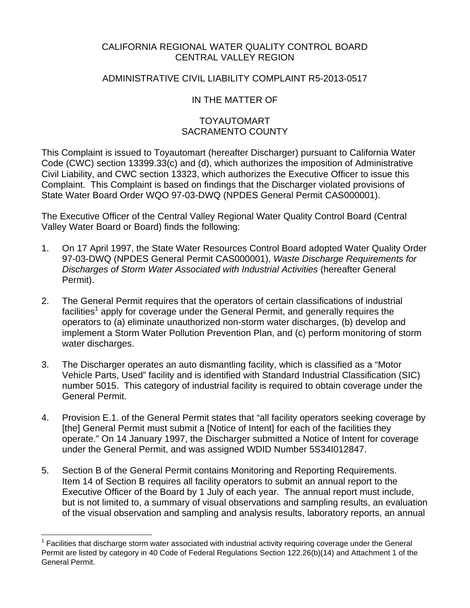### CALIFORNIA REGIONAL WATER QUALITY CONTROL BOARD CENTRAL VALLEY REGION

### ADMINISTRATIVE CIVIL LIABILITY COMPLAINT R5-2013-0517

## IN THE MATTER OF

### TOYAUTOMART SACRAMENTO COUNTY

This Complaint is issued to Toyautomart (hereafter Discharger) pursuant to California Water Code (CWC) section 13399.33(c) and (d), which authorizes the imposition of Administrative Civil Liability, and CWC section 13323, which authorizes the Executive Officer to issue this Complaint. This Complaint is based on findings that the Discharger violated provisions of State Water Board Order WQO 97-03-DWQ (NPDES General Permit CAS000001).

The Executive Officer of the Central Valley Regional Water Quality Control Board (Central Valley Water Board or Board) finds the following:

- 1. On 17 April 1997, the State Water Resources Control Board adopted Water Quality Order 97-03-DWQ (NPDES General Permit CAS000001), *Waste Discharge Requirements for Discharges of Storm Water Associated with Industrial Activities* (hereafter General Permit).
- 2. The General Permit requires that the operators of certain classifications of industrial facilities<sup>1</sup> apply for coverage under the General Permit, and generally requires the operators to (a) eliminate unauthorized non-storm water discharges, (b) develop and implement a Storm Water Pollution Prevention Plan, and (c) perform monitoring of storm water discharges.
- 3. The Discharger operates an auto dismantling facility, which is classified as a "Motor Vehicle Parts, Used" facility and is identified with Standard Industrial Classification (SIC) number 5015. This category of industrial facility is required to obtain coverage under the General Permit.
- 4. Provision E.1. of the General Permit states that "all facility operators seeking coverage by [the] General Permit must submit a [Notice of Intent] for each of the facilities they operate." On 14 January 1997, the Discharger submitted a Notice of Intent for coverage under the General Permit, and was assigned WDID Number 5S34I012847.
- 5. Section B of the General Permit contains Monitoring and Reporting Requirements. Item 14 of Section B requires all facility operators to submit an annual report to the Executive Officer of the Board by 1 July of each year. The annual report must include, but is not limited to, a summary of visual observations and sampling results, an evaluation of the visual observation and sampling and analysis results, laboratory reports, an annual

<u>.</u>

<sup>1</sup> Facilities that discharge storm water associated with industrial activity requiring coverage under the General Permit are listed by category in 40 Code of Federal Regulations Section 122.26(b)(14) and Attachment 1 of the General Permit.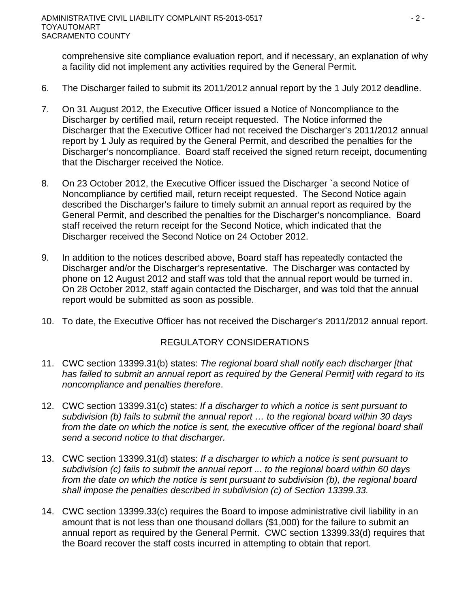comprehensive site compliance evaluation report, and if necessary, an explanation of why a facility did not implement any activities required by the General Permit.

- 6. The Discharger failed to submit its 2011/2012 annual report by the 1 July 2012 deadline.
- 7. On 31 August 2012, the Executive Officer issued a Notice of Noncompliance to the Discharger by certified mail, return receipt requested. The Notice informed the Discharger that the Executive Officer had not received the Discharger's 2011/2012 annual report by 1 July as required by the General Permit, and described the penalties for the Discharger's noncompliance. Board staff received the signed return receipt, documenting that the Discharger received the Notice.
- 8. On 23 October 2012, the Executive Officer issued the Discharger `a second Notice of Noncompliance by certified mail, return receipt requested. The Second Notice again described the Discharger's failure to timely submit an annual report as required by the General Permit, and described the penalties for the Discharger's noncompliance. Board staff received the return receipt for the Second Notice, which indicated that the Discharger received the Second Notice on 24 October 2012.
- 9. In addition to the notices described above, Board staff has repeatedly contacted the Discharger and/or the Discharger's representative. The Discharger was contacted by phone on 12 August 2012 and staff was told that the annual report would be turned in. On 28 October 2012, staff again contacted the Discharger, and was told that the annual report would be submitted as soon as possible.
- 10. To date, the Executive Officer has not received the Discharger's 2011/2012 annual report.

### REGULATORY CONSIDERATIONS

- 11. CWC section 13399.31(b) states: *The regional board shall notify each discharger [that has failed to submit an annual report as required by the General Permit] with regard to its noncompliance and penalties therefore*.
- 12. CWC section 13399.31(c) states: *If a discharger to which a notice is sent pursuant to subdivision (b) fails to submit the annual report … to the regional board within 30 days*  from the date on which the notice is sent, the executive officer of the regional board shall *send a second notice to that discharger.*
- 13. CWC section 13399.31(d) states: *If a discharger to which a notice is sent pursuant to subdivision (c) fails to submit the annual report ... to the regional board within 60 days from the date on which the notice is sent pursuant to subdivision (b), the regional board shall impose the penalties described in subdivision (c) of Section 13399.33.*
- 14. CWC section 13399.33(c) requires the Board to impose administrative civil liability in an amount that is not less than one thousand dollars (\$1,000) for the failure to submit an annual report as required by the General Permit. CWC section 13399.33(d) requires that the Board recover the staff costs incurred in attempting to obtain that report.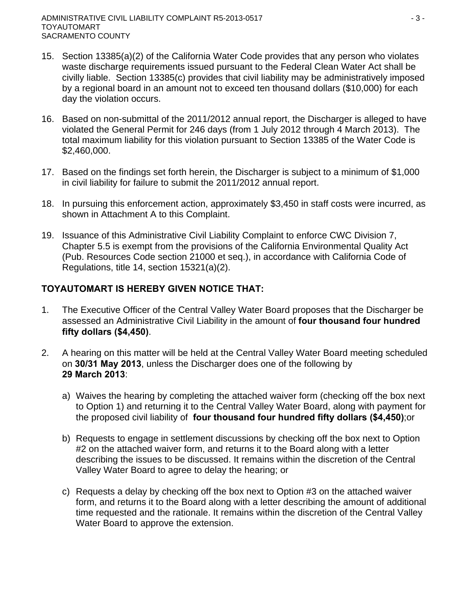- 15. Section 13385(a)(2) of the California Water Code provides that any person who violates waste discharge requirements issued pursuant to the Federal Clean Water Act shall be civilly liable. Section 13385(c) provides that civil liability may be administratively imposed by a regional board in an amount not to exceed ten thousand dollars (\$10,000) for each day the violation occurs.
- 16. Based on non-submittal of the 2011/2012 annual report, the Discharger is alleged to have violated the General Permit for 246 days (from 1 July 2012 through 4 March 2013). The total maximum liability for this violation pursuant to Section 13385 of the Water Code is \$2,460,000.
- 17. Based on the findings set forth herein, the Discharger is subject to a minimum of \$1,000 in civil liability for failure to submit the 2011/2012 annual report.
- 18. In pursuing this enforcement action, approximately \$3,450 in staff costs were incurred, as shown in Attachment A to this Complaint.
- 19. Issuance of this Administrative Civil Liability Complaint to enforce CWC Division 7, Chapter 5.5 is exempt from the provisions of the California Environmental Quality Act (Pub. Resources Code section 21000 et seq.), in accordance with California Code of Regulations, title 14, section 15321(a)(2).

# **TOYAUTOMART IS HEREBY GIVEN NOTICE THAT:**

- 1. The Executive Officer of the Central Valley Water Board proposes that the Discharger be assessed an Administrative Civil Liability in the amount of **four thousand four hundred fifty dollars (\$4,450)**.
- 2. A hearing on this matter will be held at the Central Valley Water Board meeting scheduled on **30/31 May 2013**, unless the Discharger does one of the following by **29 March 2013**:
	- a) Waives the hearing by completing the attached waiver form (checking off the box next to Option 1) and returning it to the Central Valley Water Board, along with payment for the proposed civil liability of **four thousand four hundred fifty dollars (\$4,450)**;or
	- b) Requests to engage in settlement discussions by checking off the box next to Option #2 on the attached waiver form, and returns it to the Board along with a letter describing the issues to be discussed. It remains within the discretion of the Central Valley Water Board to agree to delay the hearing; or
	- c) Requests a delay by checking off the box next to Option #3 on the attached waiver form, and returns it to the Board along with a letter describing the amount of additional time requested and the rationale. It remains within the discretion of the Central Valley Water Board to approve the extension.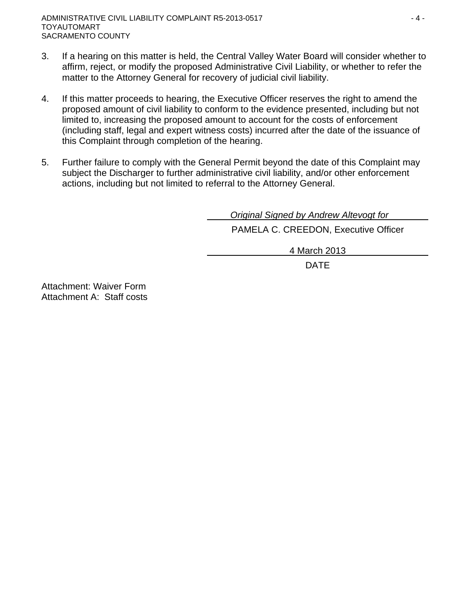- 3. If a hearing on this matter is held, the Central Valley Water Board will consider whether to affirm, reject, or modify the proposed Administrative Civil Liability, or whether to refer the matter to the Attorney General for recovery of judicial civil liability.
- 4. If this matter proceeds to hearing, the Executive Officer reserves the right to amend the proposed amount of civil liability to conform to the evidence presented, including but not limited to, increasing the proposed amount to account for the costs of enforcement (including staff, legal and expert witness costs) incurred after the date of the issuance of this Complaint through completion of the hearing.
- 5. Further failure to comply with the General Permit beyond the date of this Complaint may subject the Discharger to further administrative civil liability, and/or other enforcement actions, including but not limited to referral to the Attorney General.

 *Original Signed by Andrew Altevogt for* PAMELA C. CREEDON, Executive Officer

4 March 2013

design and the contract of the contract of the DATE of the contract of the contract of the contract of the contract of the contract of the contract of the contract of the contract of the contract of the contract of the con

Attachment: Waiver Form Attachment A: Staff costs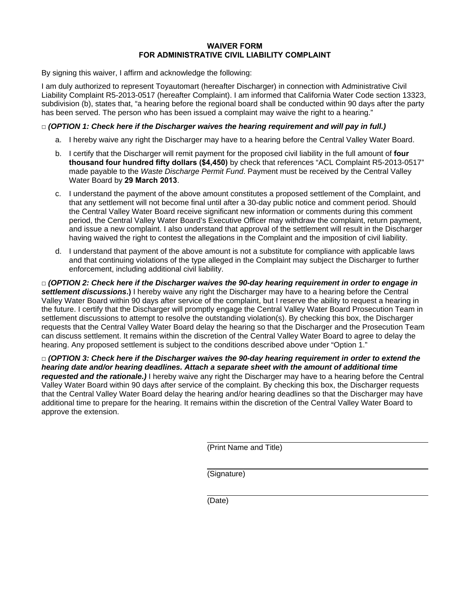#### **WAIVER FORM FOR ADMINISTRATIVE CIVIL LIABILITY COMPLAINT**

By signing this waiver, I affirm and acknowledge the following:

I am duly authorized to represent Toyautomart (hereafter Discharger) in connection with Administrative Civil Liability Complaint R5-2013-0517 (hereafter Complaint). I am informed that California Water Code section 13323, subdivision (b), states that, "a hearing before the regional board shall be conducted within 90 days after the party has been served. The person who has been issued a complaint may waive the right to a hearing."

#### **□** *(OPTION 1: Check here if the Discharger waives the hearing requirement and will pay in full.)*

- a. I hereby waive any right the Discharger may have to a hearing before the Central Valley Water Board.
- b. I certify that the Discharger will remit payment for the proposed civil liability in the full amount of **four thousand four hundred fifty dollars (\$4,450)** by check that references "ACL Complaint R5-2013-0517" made payable to the *Waste Discharge Permit Fund*. Payment must be received by the Central Valley Water Board by **29 March 2013**.
- c. I understand the payment of the above amount constitutes a proposed settlement of the Complaint, and that any settlement will not become final until after a 30-day public notice and comment period. Should the Central Valley Water Board receive significant new information or comments during this comment period, the Central Valley Water Board's Executive Officer may withdraw the complaint, return payment, and issue a new complaint. I also understand that approval of the settlement will result in the Discharger having waived the right to contest the allegations in the Complaint and the imposition of civil liability.
- d. I understand that payment of the above amount is not a substitute for compliance with applicable laws and that continuing violations of the type alleged in the Complaint may subject the Discharger to further enforcement, including additional civil liability.

**□** *(OPTION 2: Check here if the Discharger waives the 90-day hearing requirement in order to engage in settlement discussions***.)** I hereby waive any right the Discharger may have to a hearing before the Central Valley Water Board within 90 days after service of the complaint, but I reserve the ability to request a hearing in the future. I certify that the Discharger will promptly engage the Central Valley Water Board Prosecution Team in settlement discussions to attempt to resolve the outstanding violation(s). By checking this box, the Discharger requests that the Central Valley Water Board delay the hearing so that the Discharger and the Prosecution Team can discuss settlement. It remains within the discretion of the Central Valley Water Board to agree to delay the hearing. Any proposed settlement is subject to the conditions described above under "Option 1."

**□** *(OPTION 3: Check here if the Discharger waives the 90-day hearing requirement in order to extend the hearing date and/or hearing deadlines. Attach a separate sheet with the amount of additional time requested and the rationale.)* I hereby waive any right the Discharger may have to a hearing before the Central Valley Water Board within 90 days after service of the complaint. By checking this box, the Discharger requests that the Central Valley Water Board delay the hearing and/or hearing deadlines so that the Discharger may have additional time to prepare for the hearing. It remains within the discretion of the Central Valley Water Board to approve the extension.

(Print Name and Title)

(Signature)

(Date)